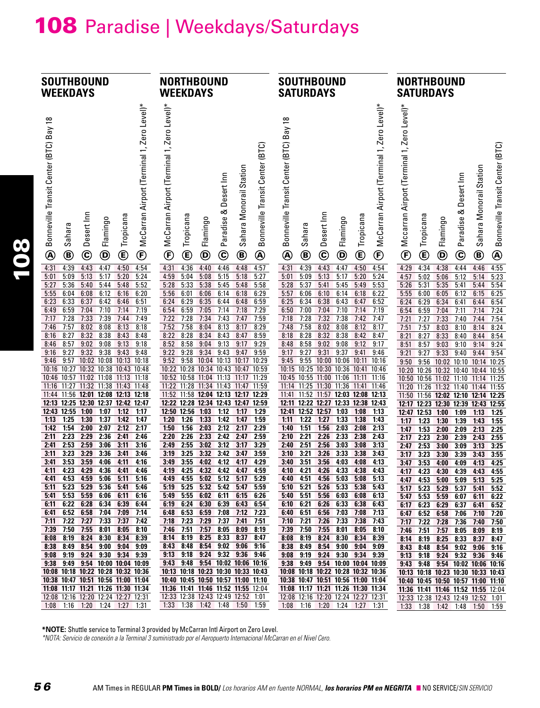## 108 Paradise | Weekdays/Saturdays

| <b>SOUTHBOUND</b>                                                                                                                                                                                                                                                                                                                                                                                                                                              | <b>NORTHBOUND</b>                                                                                                                                                                                                                                                                                                                                                                                                                                                 | <b>SOUTHBOUND</b>                                                                                                                                                                                                                                                                                                                                                                                                                                                             | <b>NORTHBOUND</b>                                                                                                                                                                                                                                                                                                                                                                                                                                                        |
|----------------------------------------------------------------------------------------------------------------------------------------------------------------------------------------------------------------------------------------------------------------------------------------------------------------------------------------------------------------------------------------------------------------------------------------------------------------|-------------------------------------------------------------------------------------------------------------------------------------------------------------------------------------------------------------------------------------------------------------------------------------------------------------------------------------------------------------------------------------------------------------------------------------------------------------------|-------------------------------------------------------------------------------------------------------------------------------------------------------------------------------------------------------------------------------------------------------------------------------------------------------------------------------------------------------------------------------------------------------------------------------------------------------------------------------|--------------------------------------------------------------------------------------------------------------------------------------------------------------------------------------------------------------------------------------------------------------------------------------------------------------------------------------------------------------------------------------------------------------------------------------------------------------------------|
| <b>WEEKDAYS</b>                                                                                                                                                                                                                                                                                                                                                                                                                                                | <b>WEEKDAYS</b>                                                                                                                                                                                                                                                                                                                                                                                                                                                   | <b>SATURDAYS</b>                                                                                                                                                                                                                                                                                                                                                                                                                                                              | <b>SATURDAYS</b>                                                                                                                                                                                                                                                                                                                                                                                                                                                         |
| McCarran Airport (Terminal 1, Zero Level)*                                                                                                                                                                                                                                                                                                                                                                                                                     | McCarran Airport (Terminal 1, Zero Level)*                                                                                                                                                                                                                                                                                                                                                                                                                        | McCarran Airport (Terminal 1, Zero Level)*                                                                                                                                                                                                                                                                                                                                                                                                                                    | Mccarran Airport (Terminal 1, Zero Level)*                                                                                                                                                                                                                                                                                                                                                                                                                               |
| Bonneville Transit Center (BTC) Bay 18                                                                                                                                                                                                                                                                                                                                                                                                                         | Bonneville Transit Center (BTC)                                                                                                                                                                                                                                                                                                                                                                                                                                   | Bonneville Transit Center (BTC) Bay 18                                                                                                                                                                                                                                                                                                                                                                                                                                        | Bonneville Transit Center (BTC)                                                                                                                                                                                                                                                                                                                                                                                                                                          |
| Desert Inn                                                                                                                                                                                                                                                                                                                                                                                                                                                     | Sahara Monorail Station                                                                                                                                                                                                                                                                                                                                                                                                                                           | Desert Inn                                                                                                                                                                                                                                                                                                                                                                                                                                                                    | Sahara Monorail Station                                                                                                                                                                                                                                                                                                                                                                                                                                                  |
| Tropicana                                                                                                                                                                                                                                                                                                                                                                                                                                                      | Paradise & Desert Inn                                                                                                                                                                                                                                                                                                                                                                                                                                             | Tropicana                                                                                                                                                                                                                                                                                                                                                                                                                                                                     | Paradise & Desert Inn                                                                                                                                                                                                                                                                                                                                                                                                                                                    |
| Flamingo                                                                                                                                                                                                                                                                                                                                                                                                                                                       | Tropicana                                                                                                                                                                                                                                                                                                                                                                                                                                                         | Flamingo                                                                                                                                                                                                                                                                                                                                                                                                                                                                      | Tropicana                                                                                                                                                                                                                                                                                                                                                                                                                                                                |
| Sahara                                                                                                                                                                                                                                                                                                                                                                                                                                                         | Flamingo                                                                                                                                                                                                                                                                                                                                                                                                                                                          | Sahara                                                                                                                                                                                                                                                                                                                                                                                                                                                                        | Flamingo                                                                                                                                                                                                                                                                                                                                                                                                                                                                 |
| $\mathbf{\widehat{c}}$                                                                                                                                                                                                                                                                                                                                                                                                                                         | $\mathbf{\widehat{E}}$                                                                                                                                                                                                                                                                                                                                                                                                                                            | ¢                                                                                                                                                                                                                                                                                                                                                                                                                                                                             | $^\circledR$                                                                                                                                                                                                                                                                                                                                                                                                                                                             |
| ®                                                                                                                                                                                                                                                                                                                                                                                                                                                              | Ē                                                                                                                                                                                                                                                                                                                                                                                                                                                                 | $\mathbf{\copyright}$                                                                                                                                                                                                                                                                                                                                                                                                                                                         | $^\copyright$                                                                                                                                                                                                                                                                                                                                                                                                                                                            |
| $\circledast$                                                                                                                                                                                                                                                                                                                                                                                                                                                  | $\boldsymbol{\mathsf{\Theta}}$                                                                                                                                                                                                                                                                                                                                                                                                                                    | $\boldsymbol{\mathsf{\Theta}}$                                                                                                                                                                                                                                                                                                                                                                                                                                                | $\boldsymbol{\mathsf{\Theta}}$                                                                                                                                                                                                                                                                                                                                                                                                                                           |
| ©                                                                                                                                                                                                                                                                                                                                                                                                                                                              | $\mathbf{\copyright}$                                                                                                                                                                                                                                                                                                                                                                                                                                             | $^\circled{\textbf{f}}$                                                                                                                                                                                                                                                                                                                                                                                                                                                       | $\mathbf{\widehat{c}}$                                                                                                                                                                                                                                                                                                                                                                                                                                                   |
| $^\circled{\textbf{F}}$                                                                                                                                                                                                                                                                                                                                                                                                                                        | ®                                                                                                                                                                                                                                                                                                                                                                                                                                                                 | ®                                                                                                                                                                                                                                                                                                                                                                                                                                                                             | ®                                                                                                                                                                                                                                                                                                                                                                                                                                                                        |
| ®                                                                                                                                                                                                                                                                                                                                                                                                                                                              | ◉                                                                                                                                                                                                                                                                                                                                                                                                                                                                 |                                                                                                                                                                                                                                                                                                                                                                                                                                                                               | E                                                                                                                                                                                                                                                                                                                                                                                                                                                                        |
| 4:39                                                                                                                                                                                                                                                                                                                                                                                                                                                           | 4:31                                                                                                                                                                                                                                                                                                                                                                                                                                                              | 4:31                                                                                                                                                                                                                                                                                                                                                                                                                                                                          | 4:34                                                                                                                                                                                                                                                                                                                                                                                                                                                                     |
| 4:43                                                                                                                                                                                                                                                                                                                                                                                                                                                           | 4:36                                                                                                                                                                                                                                                                                                                                                                                                                                                              | 4:39                                                                                                                                                                                                                                                                                                                                                                                                                                                                          | 4:38                                                                                                                                                                                                                                                                                                                                                                                                                                                                     |
| 4:47                                                                                                                                                                                                                                                                                                                                                                                                                                                           | 4:46                                                                                                                                                                                                                                                                                                                                                                                                                                                              | 4:43                                                                                                                                                                                                                                                                                                                                                                                                                                                                          | 4:44                                                                                                                                                                                                                                                                                                                                                                                                                                                                     |
| 4:50                                                                                                                                                                                                                                                                                                                                                                                                                                                           | 4:57                                                                                                                                                                                                                                                                                                                                                                                                                                                              | 4:47                                                                                                                                                                                                                                                                                                                                                                                                                                                                          | 4:46                                                                                                                                                                                                                                                                                                                                                                                                                                                                     |
| 4:54                                                                                                                                                                                                                                                                                                                                                                                                                                                           | 4:40                                                                                                                                                                                                                                                                                                                                                                                                                                                              | 4:50                                                                                                                                                                                                                                                                                                                                                                                                                                                                          | 4:55                                                                                                                                                                                                                                                                                                                                                                                                                                                                     |
| 4:31                                                                                                                                                                                                                                                                                                                                                                                                                                                           | 4:48                                                                                                                                                                                                                                                                                                                                                                                                                                                              | 4:54                                                                                                                                                                                                                                                                                                                                                                                                                                                                          | 4:29                                                                                                                                                                                                                                                                                                                                                                                                                                                                     |
| 5:09                                                                                                                                                                                                                                                                                                                                                                                                                                                           | 4:59                                                                                                                                                                                                                                                                                                                                                                                                                                                              | 5:13                                                                                                                                                                                                                                                                                                                                                                                                                                                                          | 5:02                                                                                                                                                                                                                                                                                                                                                                                                                                                                     |
| 5:13                                                                                                                                                                                                                                                                                                                                                                                                                                                           | 5:04                                                                                                                                                                                                                                                                                                                                                                                                                                                              | 5:20                                                                                                                                                                                                                                                                                                                                                                                                                                                                          | 5:06                                                                                                                                                                                                                                                                                                                                                                                                                                                                     |
| 5:17                                                                                                                                                                                                                                                                                                                                                                                                                                                           | 5:08                                                                                                                                                                                                                                                                                                                                                                                                                                                              | 5:09                                                                                                                                                                                                                                                                                                                                                                                                                                                                          | 5:23                                                                                                                                                                                                                                                                                                                                                                                                                                                                     |
| 5:20                                                                                                                                                                                                                                                                                                                                                                                                                                                           | 5:15                                                                                                                                                                                                                                                                                                                                                                                                                                                              | 5:17                                                                                                                                                                                                                                                                                                                                                                                                                                                                          | 5:12                                                                                                                                                                                                                                                                                                                                                                                                                                                                     |
| 5:24                                                                                                                                                                                                                                                                                                                                                                                                                                                           | 5:18                                                                                                                                                                                                                                                                                                                                                                                                                                                              | 5:24                                                                                                                                                                                                                                                                                                                                                                                                                                                                          | 5:14                                                                                                                                                                                                                                                                                                                                                                                                                                                                     |
| 5:01                                                                                                                                                                                                                                                                                                                                                                                                                                                           | 5:27                                                                                                                                                                                                                                                                                                                                                                                                                                                              | 5:01                                                                                                                                                                                                                                                                                                                                                                                                                                                                          | 4:57                                                                                                                                                                                                                                                                                                                                                                                                                                                                     |
| 5:27                                                                                                                                                                                                                                                                                                                                                                                                                                                           | 5:33                                                                                                                                                                                                                                                                                                                                                                                                                                                              | 5:41                                                                                                                                                                                                                                                                                                                                                                                                                                                                          | 5:31                                                                                                                                                                                                                                                                                                                                                                                                                                                                     |
| 5:36                                                                                                                                                                                                                                                                                                                                                                                                                                                           | 5:38                                                                                                                                                                                                                                                                                                                                                                                                                                                              | 5:49                                                                                                                                                                                                                                                                                                                                                                                                                                                                          | 5:26                                                                                                                                                                                                                                                                                                                                                                                                                                                                     |
| 5:40                                                                                                                                                                                                                                                                                                                                                                                                                                                           | 5:45                                                                                                                                                                                                                                                                                                                                                                                                                                                              | 5:37                                                                                                                                                                                                                                                                                                                                                                                                                                                                          | 5:35                                                                                                                                                                                                                                                                                                                                                                                                                                                                     |
| 5:44                                                                                                                                                                                                                                                                                                                                                                                                                                                           | 5:48                                                                                                                                                                                                                                                                                                                                                                                                                                                              | 5:45                                                                                                                                                                                                                                                                                                                                                                                                                                                                          | 5:41                                                                                                                                                                                                                                                                                                                                                                                                                                                                     |
| 5:48                                                                                                                                                                                                                                                                                                                                                                                                                                                           | 5:58                                                                                                                                                                                                                                                                                                                                                                                                                                                              | 5:53                                                                                                                                                                                                                                                                                                                                                                                                                                                                          | 5:44                                                                                                                                                                                                                                                                                                                                                                                                                                                                     |
| 5:52                                                                                                                                                                                                                                                                                                                                                                                                                                                           | 5:28                                                                                                                                                                                                                                                                                                                                                                                                                                                              | 5:28                                                                                                                                                                                                                                                                                                                                                                                                                                                                          | 5:54                                                                                                                                                                                                                                                                                                                                                                                                                                                                     |
| 5:55                                                                                                                                                                                                                                                                                                                                                                                                                                                           | 6:01                                                                                                                                                                                                                                                                                                                                                                                                                                                              | 6:06                                                                                                                                                                                                                                                                                                                                                                                                                                                                          | 5:55                                                                                                                                                                                                                                                                                                                                                                                                                                                                     |
| 6:08                                                                                                                                                                                                                                                                                                                                                                                                                                                           | 6:14                                                                                                                                                                                                                                                                                                                                                                                                                                                              | 6:10                                                                                                                                                                                                                                                                                                                                                                                                                                                                          | 6:00                                                                                                                                                                                                                                                                                                                                                                                                                                                                     |
| 6:12                                                                                                                                                                                                                                                                                                                                                                                                                                                           | 6:29                                                                                                                                                                                                                                                                                                                                                                                                                                                              | 6:14                                                                                                                                                                                                                                                                                                                                                                                                                                                                          | 6:05                                                                                                                                                                                                                                                                                                                                                                                                                                                                     |
| 6:16                                                                                                                                                                                                                                                                                                                                                                                                                                                           | 5:56                                                                                                                                                                                                                                                                                                                                                                                                                                                              | 6:18                                                                                                                                                                                                                                                                                                                                                                                                                                                                          | 6:15                                                                                                                                                                                                                                                                                                                                                                                                                                                                     |
| 6:04                                                                                                                                                                                                                                                                                                                                                                                                                                                           | 6:06                                                                                                                                                                                                                                                                                                                                                                                                                                                              | 6:22                                                                                                                                                                                                                                                                                                                                                                                                                                                                          | 6:25                                                                                                                                                                                                                                                                                                                                                                                                                                                                     |
| 6:20                                                                                                                                                                                                                                                                                                                                                                                                                                                           | 6:18                                                                                                                                                                                                                                                                                                                                                                                                                                                              | 5:57                                                                                                                                                                                                                                                                                                                                                                                                                                                                          | 6:12                                                                                                                                                                                                                                                                                                                                                                                                                                                                     |
| 6:37                                                                                                                                                                                                                                                                                                                                                                                                                                                           | 6:29                                                                                                                                                                                                                                                                                                                                                                                                                                                              | 6:38                                                                                                                                                                                                                                                                                                                                                                                                                                                                          | 6:29                                                                                                                                                                                                                                                                                                                                                                                                                                                                     |
| 6:23                                                                                                                                                                                                                                                                                                                                                                                                                                                           | 6:35                                                                                                                                                                                                                                                                                                                                                                                                                                                              | 6:43                                                                                                                                                                                                                                                                                                                                                                                                                                                                          | 6:34                                                                                                                                                                                                                                                                                                                                                                                                                                                                     |
| 6:33                                                                                                                                                                                                                                                                                                                                                                                                                                                           | 6:44                                                                                                                                                                                                                                                                                                                                                                                                                                                              | 6:47                                                                                                                                                                                                                                                                                                                                                                                                                                                                          | 6:44                                                                                                                                                                                                                                                                                                                                                                                                                                                                     |
| 6:42                                                                                                                                                                                                                                                                                                                                                                                                                                                           | 6:48                                                                                                                                                                                                                                                                                                                                                                                                                                                              | 6:25                                                                                                                                                                                                                                                                                                                                                                                                                                                                          | 6:54                                                                                                                                                                                                                                                                                                                                                                                                                                                                     |
| 6:46                                                                                                                                                                                                                                                                                                                                                                                                                                                           | 6:59                                                                                                                                                                                                                                                                                                                                                                                                                                                              | 6:34                                                                                                                                                                                                                                                                                                                                                                                                                                                                          | 6:24                                                                                                                                                                                                                                                                                                                                                                                                                                                                     |
| 6:51                                                                                                                                                                                                                                                                                                                                                                                                                                                           | 6:24                                                                                                                                                                                                                                                                                                                                                                                                                                                              | 6:52                                                                                                                                                                                                                                                                                                                                                                                                                                                                          | 6:41                                                                                                                                                                                                                                                                                                                                                                                                                                                                     |
| 6:59                                                                                                                                                                                                                                                                                                                                                                                                                                                           | 6:59                                                                                                                                                                                                                                                                                                                                                                                                                                                              | 7:00                                                                                                                                                                                                                                                                                                                                                                                                                                                                          | 6:54                                                                                                                                                                                                                                                                                                                                                                                                                                                                     |
| 7:04                                                                                                                                                                                                                                                                                                                                                                                                                                                           | 6:54                                                                                                                                                                                                                                                                                                                                                                                                                                                              | 7:04                                                                                                                                                                                                                                                                                                                                                                                                                                                                          | 6:59                                                                                                                                                                                                                                                                                                                                                                                                                                                                     |
| 7:10                                                                                                                                                                                                                                                                                                                                                                                                                                                           | 7:05                                                                                                                                                                                                                                                                                                                                                                                                                                                              | 7:10                                                                                                                                                                                                                                                                                                                                                                                                                                                                          | 7:04                                                                                                                                                                                                                                                                                                                                                                                                                                                                     |
| 7:14                                                                                                                                                                                                                                                                                                                                                                                                                                                           | 7:14                                                                                                                                                                                                                                                                                                                                                                                                                                                              | 7:14                                                                                                                                                                                                                                                                                                                                                                                                                                                                          | 7:11                                                                                                                                                                                                                                                                                                                                                                                                                                                                     |
| 6:49                                                                                                                                                                                                                                                                                                                                                                                                                                                           | 7:18                                                                                                                                                                                                                                                                                                                                                                                                                                                              | 6:50                                                                                                                                                                                                                                                                                                                                                                                                                                                                          | 7:14                                                                                                                                                                                                                                                                                                                                                                                                                                                                     |
| 7:19                                                                                                                                                                                                                                                                                                                                                                                                                                                           | 7:29                                                                                                                                                                                                                                                                                                                                                                                                                                                              | 7:19                                                                                                                                                                                                                                                                                                                                                                                                                                                                          | 7:24                                                                                                                                                                                                                                                                                                                                                                                                                                                                     |
| 7:33                                                                                                                                                                                                                                                                                                                                                                                                                                                           | 7:28                                                                                                                                                                                                                                                                                                                                                                                                                                                              | 7:38                                                                                                                                                                                                                                                                                                                                                                                                                                                                          | 7:33                                                                                                                                                                                                                                                                                                                                                                                                                                                                     |
| 7:39                                                                                                                                                                                                                                                                                                                                                                                                                                                           | 7:34                                                                                                                                                                                                                                                                                                                                                                                                                                                              | 7:28                                                                                                                                                                                                                                                                                                                                                                                                                                                                          | 7:44                                                                                                                                                                                                                                                                                                                                                                                                                                                                     |
| 7:44                                                                                                                                                                                                                                                                                                                                                                                                                                                           | 7:43                                                                                                                                                                                                                                                                                                                                                                                                                                                              | 7:32                                                                                                                                                                                                                                                                                                                                                                                                                                                                          | 7:21                                                                                                                                                                                                                                                                                                                                                                                                                                                                     |
| 7:17                                                                                                                                                                                                                                                                                                                                                                                                                                                           | 7:47                                                                                                                                                                                                                                                                                                                                                                                                                                                              | 7:42                                                                                                                                                                                                                                                                                                                                                                                                                                                                          | 7:27                                                                                                                                                                                                                                                                                                                                                                                                                                                                     |
| 7:28                                                                                                                                                                                                                                                                                                                                                                                                                                                           | 7:59                                                                                                                                                                                                                                                                                                                                                                                                                                                              | 7:47                                                                                                                                                                                                                                                                                                                                                                                                                                                                          | 7:40                                                                                                                                                                                                                                                                                                                                                                                                                                                                     |
| 7:49                                                                                                                                                                                                                                                                                                                                                                                                                                                           | 7:22                                                                                                                                                                                                                                                                                                                                                                                                                                                              | 7:18                                                                                                                                                                                                                                                                                                                                                                                                                                                                          | 7:54                                                                                                                                                                                                                                                                                                                                                                                                                                                                     |
| 8:02                                                                                                                                                                                                                                                                                                                                                                                                                                                           | 7:52                                                                                                                                                                                                                                                                                                                                                                                                                                                              | 7:58                                                                                                                                                                                                                                                                                                                                                                                                                                                                          | 7:51                                                                                                                                                                                                                                                                                                                                                                                                                                                                     |
| 8:08                                                                                                                                                                                                                                                                                                                                                                                                                                                           | 7:58                                                                                                                                                                                                                                                                                                                                                                                                                                                              | 8:02                                                                                                                                                                                                                                                                                                                                                                                                                                                                          | 7:57                                                                                                                                                                                                                                                                                                                                                                                                                                                                     |
| 8:13                                                                                                                                                                                                                                                                                                                                                                                                                                                           | 8:04                                                                                                                                                                                                                                                                                                                                                                                                                                                              | 8:08                                                                                                                                                                                                                                                                                                                                                                                                                                                                          | 8:03                                                                                                                                                                                                                                                                                                                                                                                                                                                                     |
| 8:18                                                                                                                                                                                                                                                                                                                                                                                                                                                           | 8:13                                                                                                                                                                                                                                                                                                                                                                                                                                                              | 8:12                                                                                                                                                                                                                                                                                                                                                                                                                                                                          | 8:14                                                                                                                                                                                                                                                                                                                                                                                                                                                                     |
| 7:46                                                                                                                                                                                                                                                                                                                                                                                                                                                           | 8:17                                                                                                                                                                                                                                                                                                                                                                                                                                                              | 7:48                                                                                                                                                                                                                                                                                                                                                                                                                                                                          | 8:24                                                                                                                                                                                                                                                                                                                                                                                                                                                                     |
| 7:57                                                                                                                                                                                                                                                                                                                                                                                                                                                           | 8:29                                                                                                                                                                                                                                                                                                                                                                                                                                                              | 8:17                                                                                                                                                                                                                                                                                                                                                                                                                                                                          | 8:10                                                                                                                                                                                                                                                                                                                                                                                                                                                                     |
| 8:32                                                                                                                                                                                                                                                                                                                                                                                                                                                           | 8:28                                                                                                                                                                                                                                                                                                                                                                                                                                                              | 8:28                                                                                                                                                                                                                                                                                                                                                                                                                                                                          | 8:27                                                                                                                                                                                                                                                                                                                                                                                                                                                                     |
| 8:38                                                                                                                                                                                                                                                                                                                                                                                                                                                           | 8:34                                                                                                                                                                                                                                                                                                                                                                                                                                                              | 8:32                                                                                                                                                                                                                                                                                                                                                                                                                                                                          | 8:33                                                                                                                                                                                                                                                                                                                                                                                                                                                                     |
| 8:43                                                                                                                                                                                                                                                                                                                                                                                                                                                           | 8:43                                                                                                                                                                                                                                                                                                                                                                                                                                                              | 8:38                                                                                                                                                                                                                                                                                                                                                                                                                                                                          | 8:44                                                                                                                                                                                                                                                                                                                                                                                                                                                                     |
| 8:16                                                                                                                                                                                                                                                                                                                                                                                                                                                           | 8:47                                                                                                                                                                                                                                                                                                                                                                                                                                                              | 8:42                                                                                                                                                                                                                                                                                                                                                                                                                                                                          | 8:54                                                                                                                                                                                                                                                                                                                                                                                                                                                                     |
| 8:27                                                                                                                                                                                                                                                                                                                                                                                                                                                           | 8:59                                                                                                                                                                                                                                                                                                                                                                                                                                                              | 8:47                                                                                                                                                                                                                                                                                                                                                                                                                                                                          | 8:21                                                                                                                                                                                                                                                                                                                                                                                                                                                                     |
| 8:48                                                                                                                                                                                                                                                                                                                                                                                                                                                           | 8:22                                                                                                                                                                                                                                                                                                                                                                                                                                                              | 8:18                                                                                                                                                                                                                                                                                                                                                                                                                                                                          | 8:40                                                                                                                                                                                                                                                                                                                                                                                                                                                                     |
| 9:02                                                                                                                                                                                                                                                                                                                                                                                                                                                           | 8:58                                                                                                                                                                                                                                                                                                                                                                                                                                                              | 8:58                                                                                                                                                                                                                                                                                                                                                                                                                                                                          | 8:57                                                                                                                                                                                                                                                                                                                                                                                                                                                                     |
| 9:08                                                                                                                                                                                                                                                                                                                                                                                                                                                           | 9:04                                                                                                                                                                                                                                                                                                                                                                                                                                                              | 9:02                                                                                                                                                                                                                                                                                                                                                                                                                                                                          | 9:03                                                                                                                                                                                                                                                                                                                                                                                                                                                                     |
| 9:13                                                                                                                                                                                                                                                                                                                                                                                                                                                           | 9:13                                                                                                                                                                                                                                                                                                                                                                                                                                                              | 9:08                                                                                                                                                                                                                                                                                                                                                                                                                                                                          | 9:24                                                                                                                                                                                                                                                                                                                                                                                                                                                                     |
| 9:18                                                                                                                                                                                                                                                                                                                                                                                                                                                           | 9:17                                                                                                                                                                                                                                                                                                                                                                                                                                                              | 9:12                                                                                                                                                                                                                                                                                                                                                                                                                                                                          | 8:51                                                                                                                                                                                                                                                                                                                                                                                                                                                                     |
| 8:46                                                                                                                                                                                                                                                                                                                                                                                                                                                           | 9:29                                                                                                                                                                                                                                                                                                                                                                                                                                                              | 8:48                                                                                                                                                                                                                                                                                                                                                                                                                                                                          | 9:10                                                                                                                                                                                                                                                                                                                                                                                                                                                                     |
| 8:57                                                                                                                                                                                                                                                                                                                                                                                                                                                           | 8:52                                                                                                                                                                                                                                                                                                                                                                                                                                                              | 9:17                                                                                                                                                                                                                                                                                                                                                                                                                                                                          | 9:14                                                                                                                                                                                                                                                                                                                                                                                                                                                                     |
| 9:32                                                                                                                                                                                                                                                                                                                                                                                                                                                           | 9:59                                                                                                                                                                                                                                                                                                                                                                                                                                                              | 9:27                                                                                                                                                                                                                                                                                                                                                                                                                                                                          | 9:27                                                                                                                                                                                                                                                                                                                                                                                                                                                                     |
| 9:38                                                                                                                                                                                                                                                                                                                                                                                                                                                           | 9:28                                                                                                                                                                                                                                                                                                                                                                                                                                                              | 9:31                                                                                                                                                                                                                                                                                                                                                                                                                                                                          | 9:33                                                                                                                                                                                                                                                                                                                                                                                                                                                                     |
| 9:43                                                                                                                                                                                                                                                                                                                                                                                                                                                           | 9:34                                                                                                                                                                                                                                                                                                                                                                                                                                                              | 9:37                                                                                                                                                                                                                                                                                                                                                                                                                                                                          | 9:21                                                                                                                                                                                                                                                                                                                                                                                                                                                                     |
| 9:48                                                                                                                                                                                                                                                                                                                                                                                                                                                           | 9:43                                                                                                                                                                                                                                                                                                                                                                                                                                                              | 9:41                                                                                                                                                                                                                                                                                                                                                                                                                                                                          | 9:40                                                                                                                                                                                                                                                                                                                                                                                                                                                                     |
| 9:16                                                                                                                                                                                                                                                                                                                                                                                                                                                           | 9:47                                                                                                                                                                                                                                                                                                                                                                                                                                                              | 9:46                                                                                                                                                                                                                                                                                                                                                                                                                                                                          | 9:44                                                                                                                                                                                                                                                                                                                                                                                                                                                                     |
| 9:27                                                                                                                                                                                                                                                                                                                                                                                                                                                           | 9:22                                                                                                                                                                                                                                                                                                                                                                                                                                                              | 9:17                                                                                                                                                                                                                                                                                                                                                                                                                                                                          | 9:54                                                                                                                                                                                                                                                                                                                                                                                                                                                                     |
| 10:02 10:08 10:13<br>9:57<br>10:18<br>9:46<br>10:27 10:32 10:38 10:43 10:48<br>10:16<br>10:57 11:02 11:08 11:13<br>11:18<br>10:46<br>11:27 11:32 11:38 11:43 11:48<br>11:16<br>11:56 12:01 12:08 12:13 12:18<br>11:44<br>12:13 12:25 12:30 12:37 12:42 12:47<br>12:43 12:55<br>1:00<br>1:07<br>1:12<br>1:17<br>1:30<br>1:42<br>1:47<br>1:13<br>1:25<br>1:37<br>2:00<br>2:07<br>2:12<br>2:17<br>1:42<br>1:54                                                    | 10:04 10:13<br>10:17<br>9:52<br>9:58<br>10:29<br>10:22 10:28 10:34 10:43 10:47 10:59<br>10:52 10:58 11:04 11:13<br>11:17<br>11:29<br>11:22 11:28 11:34 11:43 11:47 11:59<br>11:52 11:58 12:04 12:13 12:17 12:29<br>12:22 12:28 12:34 12:43 12:47 12:59<br>12:50 12:56<br>1:03<br>1:12<br>1:17<br>1:29<br>1:33<br>1:42<br>1:47<br>1:59<br>1:26<br>1:20<br>1:56<br>2:03<br>2:12<br>2:17<br>2:29<br>1:50                                                             | 9:55<br>10:00 10:06<br>10:11<br>9:45<br>10:16<br>10:15 10:25 10:30 10:36 10:41<br>10:46<br>10:45 10:55 11:00 11:06<br>11:11<br>11:16<br>11:14 11:25 11:30 11:36 11:41<br>11:46<br>11:52 11:57 12:03 12:08 12:13<br>11:41<br>12:11 12:22 12:27 12:33 12:38 12:43<br>1:03<br>12:52 12:57<br>1:08<br>1:13<br>12:41<br>1:27<br>1:33<br>1:38<br>1:22<br>1:43<br>1:11<br>1:51<br>1:56<br>2:03<br>2:08<br>2:13<br>1:40                                                               | 9:56<br>9:50<br>10:02 10:10<br>10:14<br>10:25<br>10:20<br>10:26 10:32 10:40 10:44<br>10:55<br>10:56<br>11:02 11:10<br>11:25<br>10:50<br>11:14<br>11:32 11:40 11:44<br>11:20<br>11:26<br>11:55<br>12:02 12:10 12:14<br>12:25<br>11:50<br>11:56<br>12:17 12:23 12:30 12:39 12:43<br>12:55<br>12:47<br>12:53<br>1:00<br>1:09<br>1:13<br>1:25<br>1:17<br>1:23<br>1:30<br>1:39<br>1:43<br>1:55<br>1:47<br>1:53<br>2:00<br>2:09<br>2:13<br>2:25                                |
| 2:29<br>2:36<br>2:41<br>2:46<br>2:11<br>2:23<br>2:53<br>2:59<br>3:06<br>3:11<br>3:16<br>2:41<br>3:11<br>3:23<br>3:29<br>3:36<br>3:41<br>3:46<br>3:59<br>3:41<br>3:53<br>4:06<br>4:11<br>4:16<br>4:11<br>4:23<br>4:29<br>4:36<br>4:41<br>4:46<br>4:53<br>4:59<br>5:11<br>4:41<br>5:06<br>5:16<br>5:11<br>5:23<br>5:29<br>5:36<br>5:41<br>5:46<br>5:41 5:53 5:59 6:06 6:11 6:16<br>6:11 6:22 6:28 6:34<br>6:39<br>6:44<br>6:41 6:52 6:58<br>7:04<br>7:09<br>7:14 | 2:26<br>2:33<br>2:42<br>2:47<br>2.59<br>2:20<br>2:55<br>3:02<br>3:12<br>3:17<br>3:29<br>2:49<br>3:59<br>3:25<br>3:32<br>3:42<br>3:47<br>3:19<br>3:55<br>4:29<br>3:49<br>4:02<br>4:12<br>4:17<br>4:25<br>4:42<br>4:59<br>4:19<br>4:32<br>4:47<br>4:55<br>5:02<br>5:12<br>5:17<br>5:29<br>4:49<br>5:59<br>5:19<br>5:25<br>5:32<br>5:42<br>5:47<br>5:49 5:55 6:02 6:11 6:15 6:26<br>6:19 6:24 6:30<br>6:39 6:43<br>6:54<br>6:48 6:53<br>6:59<br>7:08<br>7:12<br>7:23 | 2:21<br>2:26<br>2:33<br>2:38<br>2:43<br>2:10<br>3:08<br>2:51<br>2:56<br>3:03<br>3:13<br>2:40<br>3:33<br>3:38<br>3:21<br>3:26<br>3:43<br>3:10<br>3:51<br>3:56<br>4:03<br>4:08<br>3:40<br>4:13<br>4:21<br>4:26<br>4:33<br>4:38<br>4:43<br>4:10<br>4:51<br>4.56<br>5.03<br>5:08<br>4:40<br>5:13<br>5:26<br>5:38<br>5:10<br>5:21<br>5:33<br>5:43<br>5:40 5:51 5:56 6:03 6:08 6:13<br>6:33<br>6:38<br>$6:10 \quad 6:21$<br>6:26<br>6:43<br>$6:40$ $6:51$<br>6:56<br>7:03 7:08 7:13 | 2:23<br>2:30<br>2:39<br>2:17<br>2:43<br>2:55<br>2:53<br>3:25<br>2:47<br>3:00<br>3:09<br>3:13<br>3:23<br>3:17<br>3:30<br>3:39<br>3:43<br>3:55<br>3:53<br>4:25<br>3:47<br>4:00<br>4:09<br>4:13<br>4:23<br>4:30<br>4:39<br>4:43<br>4:55<br>4:17<br>5:25<br>4:53<br>5:00<br>5:09<br>5:13<br>4:47<br>5:23<br>5:29<br>5:37<br>5:52<br>5:17<br>5:41<br>5:47 5:53 5:59 6:07 6:11 6:22<br>6:23 6:29 6:37<br>6:17<br>6:41<br>6:52<br>6:47<br>$6:52$ $6:58$<br>7:06<br>7:10<br>7:20 |
| 7:11 7:22 7:27 7:33<br>7:37<br>7:42<br>8:01<br>7:39 7:50 7:55<br>8:05<br>8:10<br>8:30<br>$8:08$ $8:19$ $8:24$<br>8:34<br>8:39<br>8:38 8:49 8:54<br>9:00<br>9:04<br>9:09<br>9:08 9:19 9:24 9:30 9:34 9:39<br>9:38 9:49 9:54 10:00 10:04 10:09<br>10:08 10:18 10:22 10:28 10:32 10:36<br>10:38 10:47 10:51 10:56 11:00 11:04<br>11:08 11:17 11:21 11:26 11:30 11:34<br>12:08 12:16 12:20 12:24 12:27 12:31<br>1:08 1:16 1:20 1:24 1:27 1:31                      | $7:18$ $7:23$<br>7:29 7:37<br>7:41<br>7:51<br>7:57<br>$8:05$ $8:09$<br>7:46 7:51<br>8:19<br>$8:14$ $8:19$<br>8:25<br>$8:33$ $8:37$<br>8:47<br>8:43 8:48 8:54<br>$9:02$ $9:06$<br>9:16<br>9:13 9:18 9:24 9:32 9:36<br>9:46<br>9:43 9:48 9:54 10:02 10:06 10:16<br>10:13 10:18 10:23 10:30 10:33 10:43<br>10:40 10:45 10:50 10:57 11:00 11:10<br>11:36 11:41 11:46 11:52 11:55 12:04<br>12:33 12:38 12:43 12:49 12:52 1:01<br>1:33 1:38 1:42 1:48 1:50 1:59         | 7:33 7:38 7:43<br>$7:10$ $7:21$<br>7:26<br>7:39 7:50 7:55<br>8:01<br>$8:05$ $8:10$<br>8:30<br>8:34 8:39<br>$8:08$ $8:19$<br>8:24<br>8:54 9:00 9:04 9:09<br>$8:38$ $8:49$<br>$9:08$ $9:19$<br>9:24 9:30 9:34 9:39<br>9:38 9:49 9:54 10:00 10:04 10:09<br>10:08 10:18 10:22 10:28 10:32 10:36<br>10:38 10:47 10:51 10:56 11:00 11:04<br>11:08 11:17 11:21 11:26 11:30 11:34<br>12:08 12:16 12:20 12:24 12:27 12:31<br>1:08 1:16 1:20 1:24 1:27 1:31                             | 7:17<br>$7:22$ $7:28$<br>$7:36$ $7:40$<br>7:50<br>7:51<br>7:46<br>7:57<br>8:05 8:09<br>8:19<br>8:14<br>$8:19$ $8:25$<br>8:33 8:37 8:47<br>8:43<br>8:48 8:54 9:02 9:06 9:16<br>9:13<br>9:18<br>9:24 9:32 9:36 9:46<br>9:43 9:48 9:54 10:02 10:06 10:16<br>10:13 10:18 10:23 10:30 10:33 10:43<br>10:40 10:45 10:50 10:57 11:00 11:10<br>11:36 11:41 11:46 11:52 11:55 12:04<br>12:33 12:38 12:43 12:49 12:52 1:01<br>1:33 1:38 1:42 1:48 1:50 1:59                        |

**\*NOTE:** Shuttle service to Terminal 3 provided by McCarran Intl Airport on Zero Level.

*\*NOTA: Servicio de conexión a la Terminal 3 suministrado por el Aeropuerto Internacional McCarran en el Nivel Cero.*

108